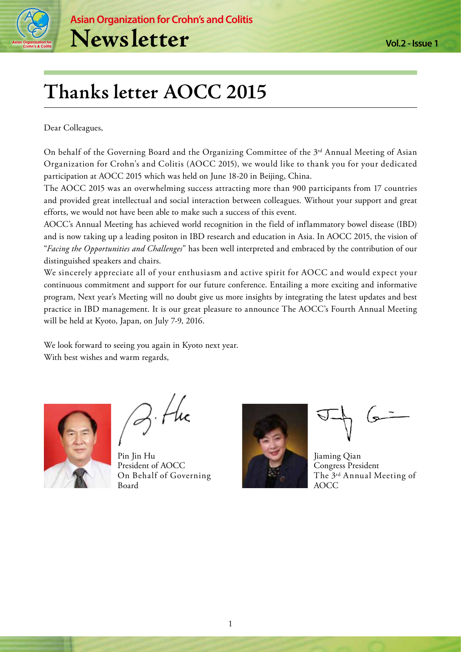

# **Thanks letter AOCC 2015**

Dear Colleagues,

On behalf of the Governing Board and the Organizing Committee of the 3<sup>rd</sup> Annual Meeting of Asian Organization for Crohn's and Colitis (AOCC 2015), we would like to thank you for your dedicated participation at AOCC 2015 which was held on June 18-20 in Beijing, China.

The AOCC 2015 was an overwhelming success attracting more than 900 participants from 17 countries and provided great intellectual and social interaction between colleagues. Without your support and great efforts, we would not have been able to make such a success of this event.

AOCC's Annual Meeting has achieved world recognition in the field of inflammatory bowel disease (IBD) and is now taking up a leading positon in IBD research and education in Asia. In AOCC 2015, the vision of "*Facing the Opportunities and Challenges*" has been well interpreted and embraced by the contribution of our distinguished speakers and chairs.

We sincerely appreciate all of your enthusiasm and active spirit for AOCC and would expect your continuous commitment and support for our future conference. Entailing a more exciting and informative program, Next year's Meeting will no doubt give us more insights by integrating the latest updates and best practice in IBD management. It is our great pleasure to announce The AOCC's Fourth Annual Meeting will be held at Kyoto, Japan, on July 7-9, 2016.

We look forward to seeing you again in Kyoto next year. With best wishes and warm regards,



Pin Jin Hu President of AOCC On Behalf of Governing Board



Jiaming Qian Congress President The 3rd Annual Meeting of AOCC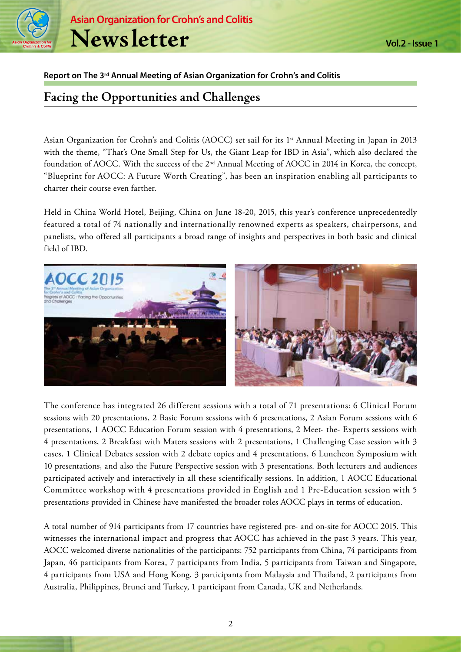

#### **Report on The 3rd Annual Meeting of Asian Organization for Crohn's and Colitis**

# **Facing the Opportunities and Challenges**

Asian Organization for Crohn's and Colitis (AOCC) set sail for its 1<sup>st</sup> Annual Meeting in Japan in 2013 with the theme, "That's One Small Step for Us, the Giant Leap for IBD in Asia", which also declared the foundation of AOCC. With the success of the 2nd Annual Meeting of AOCC in 2014 in Korea, the concept, "Blueprint for AOCC: A Future Worth Creating", has been an inspiration enabling all participants to charter their course even farther.

Held in China World Hotel, Beijing, China on June 18-20, 2015, this year's conference unprecedentedly featured a total of 74 nationally and internationally renowned experts as speakers, chairpersons, and panelists, who offered all participants a broad range of insights and perspectives in both basic and clinical field of IBD.



The conference has integrated 26 different sessions with a total of 71 presentations: 6 Clinical Forum sessions with 20 presentations, 2 Basic Forum sessions with 6 presentations, 2 Asian Forum sessions with 6 presentations, 1 AOCC Education Forum session with 4 presentations, 2 Meet- the- Experts sessions with 4 presentations, 2 Breakfast with Maters sessions with 2 presentations, 1 Challenging Case session with 3 cases, 1 Clinical Debates session with 2 debate topics and 4 presentations, 6 Luncheon Symposium with 10 presentations, and also the Future Perspective session with 3 presentations. Both lecturers and audiences participated actively and interactively in all these scientifically sessions. In addition, 1 AOCC Educational Committee workshop with 4 presentations provided in English and 1 Pre-Education session with 5 presentations provided in Chinese have manifested the broader roles AOCC plays in terms of education.

A total number of 914 participants from 17 countries have registered pre- and on-site for AOCC 2015. This witnesses the international impact and progress that AOCC has achieved in the past 3 years. This year, AOCC welcomed diverse nationalities of the participants: 752 participants from China, 74 participants from Japan, 46 participants from Korea, 7 participants from India, 5 participants from Taiwan and Singapore, 4 participants from USA and Hong Kong, 3 participants from Malaysia and Thailand, 2 participants from Australia, Philippines, Brunei and Turkey, 1 participant from Canada, UK and Netherlands.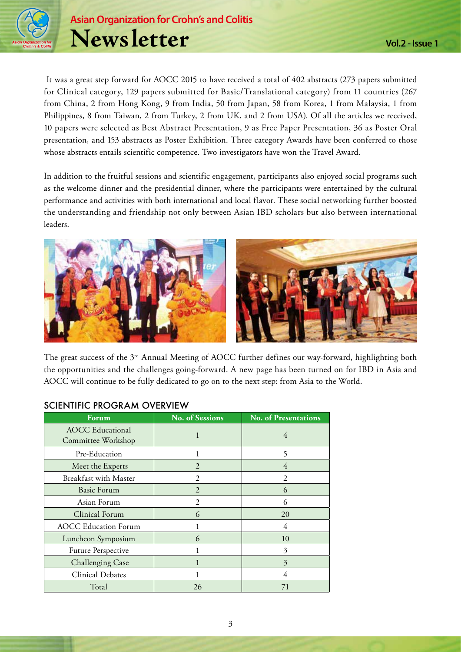

 It was a great step forward for AOCC 2015 to have received a total of 402 abstracts (273 papers submitted for Clinical category, 129 papers submitted for Basic/Translational category) from 11 countries (267 from China, 2 from Hong Kong, 9 from India, 50 from Japan, 58 from Korea, 1 from Malaysia, 1 from Philippines, 8 from Taiwan, 2 from Turkey, 2 from UK, and 2 from USA). Of all the articles we received, 10 papers were selected as Best Abstract Presentation, 9 as Free Paper Presentation, 36 as Poster Oral presentation, and 153 abstracts as Poster Exhibition. Three category Awards have been conferred to those whose abstracts entails scientific competence. Two investigators have won the Travel Award.

In addition to the fruitful sessions and scientific engagement, participants also enjoyed social programs such as the welcome dinner and the presidential dinner, where the participants were entertained by the cultural performance and activities with both international and local flavor. These social networking further boosted the understanding and friendship not only between Asian IBD scholars but also between international leaders.



The great success of the 3rd Annual Meeting of AOCC further defines our way-forward, highlighting both the opportunities and the challenges going-forward. A new page has been turned on for IBD in Asia and AOCC will continue to be fully dedicated to go on to the next step: from Asia to the World.

| Forum                                         | <b>No. of Sessions</b> | <b>No. of Presentations</b> |
|-----------------------------------------------|------------------------|-----------------------------|
| <b>AOCC</b> Educational<br>Committee Workshop | 1                      | 4                           |
| Pre-Education                                 | 1                      | 5                           |
| Meet the Experts                              | $\overline{2}$         | 4                           |
| <b>Breakfast with Master</b>                  | 2                      | 2                           |
| <b>Basic Forum</b>                            | $\overline{2}$         | 6                           |
| Asian Forum                                   | 2                      | 6                           |
| Clinical Forum                                | 6                      | 20                          |
| <b>AOCC Education Forum</b>                   |                        | 4                           |
| Luncheon Symposium                            | 6                      | 10                          |
| <b>Future Perspective</b>                     |                        | 3                           |
| <b>Challenging Case</b>                       |                        | 3                           |
| <b>Clinical Debates</b>                       |                        | 4                           |
| Total                                         | 26                     | 71                          |

#### SCIENTIFIC PROGRAM OVERVIEW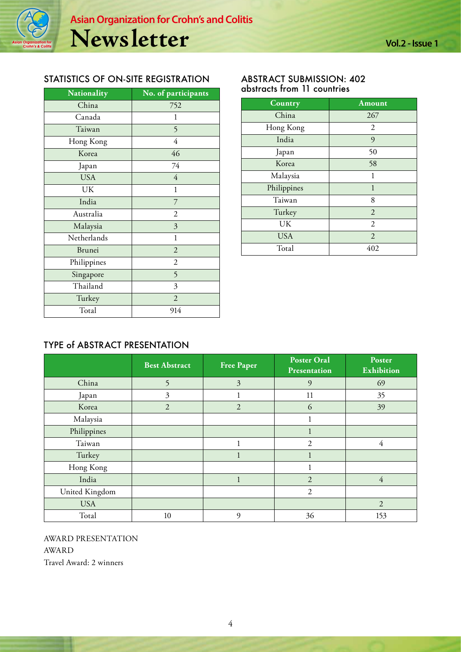#### STATISTICS OF ON-SITE REGISTRATION

| Nationality   | No. of participants |
|---------------|---------------------|
| China         | 752                 |
| Canada        | 1                   |
| Taiwan        | 5                   |
| Hong Kong     | $\overline{4}$      |
| Korea         | 46                  |
| Japan         | 74                  |
| <b>USA</b>    | $\overline{4}$      |
| UK            | 1                   |
| India         | 7                   |
| Australia     | 2                   |
| Malaysia      | 3                   |
| Netherlands   | $\mathbf{1}$        |
| <b>Brunei</b> | $\overline{2}$      |
| Philippines   | $\overline{2}$      |
| Singapore     | 5                   |
| Thailand      | 3                   |
| Turkey        | $\overline{2}$      |
| Total         | 914                 |

#### ABSTRACT SUBMISSION: 402 abstracts from 11 countries

| Country     | Amount         |
|-------------|----------------|
| China       | 267            |
| Hong Kong   | $\overline{2}$ |
| India       | 9              |
| Japan       | 50             |
| Korea       | 58             |
| Malaysia    | 1              |
| Philippines | 1              |
| Taiwan      | 8              |
| Turkey      | $\overline{2}$ |
| UK          | $\overline{2}$ |
| <b>USA</b>  | $\overline{2}$ |
| Total       | 402            |

### TYPE of ABSTRACT PRESENTATION

|                | <b>Best Abstract</b> | <b>Free Paper</b> | <b>Poster Oral</b><br>Presentation | Poster<br>Exhibition |
|----------------|----------------------|-------------------|------------------------------------|----------------------|
| China          | 5                    | $\overline{3}$    | 9                                  | 69                   |
| Japan          | 3                    |                   | 11                                 | 35                   |
| Korea          | $\overline{2}$       | $\overline{2}$    | 6                                  | 39                   |
| Malaysia       |                      |                   |                                    |                      |
| Philippines    |                      |                   | $\mathbf{I}$                       |                      |
| Taiwan         |                      |                   | $\overline{2}$                     | 4                    |
| Turkey         |                      |                   |                                    |                      |
| Hong Kong      |                      |                   | 1                                  |                      |
| India          |                      |                   | 2                                  | $\overline{4}$       |
| United Kingdom |                      |                   | $\overline{2}$                     |                      |
| <b>USA</b>     |                      |                   |                                    | $\overline{2}$       |
| Total          | 10                   | 9                 | 36                                 | 153                  |

AWARD PRESENTATION AWARD Travel Award: 2 winners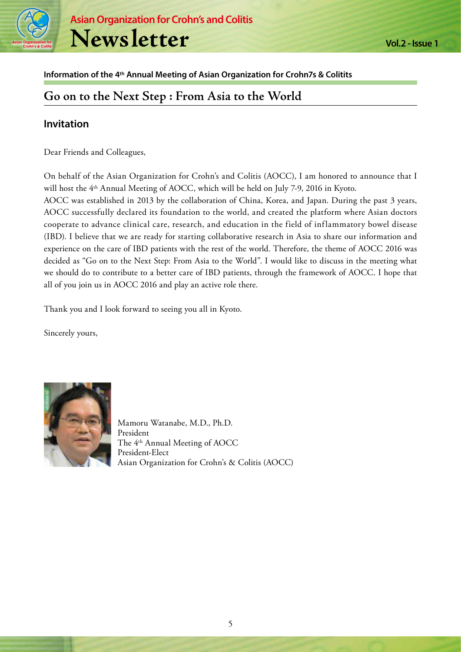

#### **Information of the 4th Annual Meeting of Asian Organization for Crohn7s & Colitits**

# **Go on to the Next Step : From Asia to the World**

#### **Invitation**

Dear Friends and Colleagues,

On behalf of the Asian Organization for Crohn's and Colitis (AOCC), I am honored to announce that I will host the 4th Annual Meeting of AOCC, which will be held on July 7-9, 2016 in Kyoto.

AOCC was established in 2013 by the collaboration of China, Korea, and Japan. During the past 3 years, AOCC successfully declared its foundation to the world, and created the platform where Asian doctors cooperate to advance clinical care, research, and education in the field of inflammatory bowel disease (IBD). I believe that we are ready for starting collaborative research in Asia to share our information and experience on the care of IBD patients with the rest of the world. Therefore, the theme of AOCC 2016 was decided as "Go on to the Next Step: From Asia to the World". I would like to discuss in the meeting what we should do to contribute to a better care of IBD patients, through the framework of AOCC. I hope that all of you join us in AOCC 2016 and play an active role there.

Thank you and I look forward to seeing you all in Kyoto.

Sincerely yours,



Mamoru Watanabe, M.D., Ph.D. President The 4th Annual Meeting of AOCC President-Elect Asian Organization for Crohn's & Colitis (AOCC)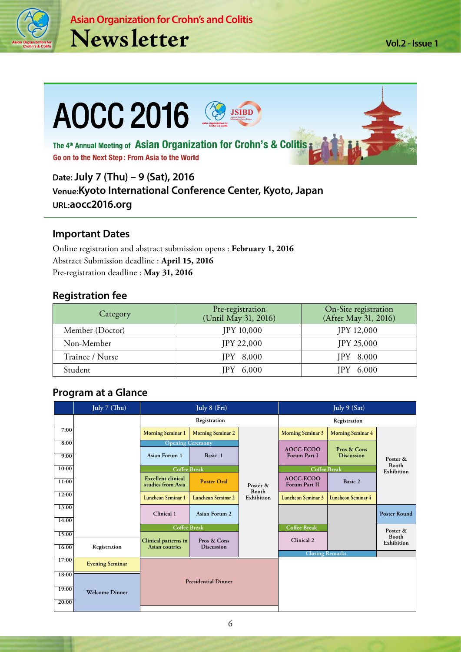

**Vol.2 - Issue 1**

# **AOCC 2016** The 4<sup>th</sup> Annual Meeting of Asian Organization for Crohn's & Colitis; Go on to the Next Step: From Asia to the World

**Date: July 7 (Thu) – 9 (Sat), 2016 Venue:Kyoto International Conference Center, Kyoto, Japan URL:aocc2016.org** 

## **Important Dates**

Online registration and abstract submission opens : **February 1, 2016** Abstract Submission deadline : **April 15, 2016** Pre-registration deadline : **May 31, 2016**

### **Registration fee**

| Category        | Pre-registration<br>(Until May 31, 2016) | On-Site registration<br>(After May 31, 2016) |
|-----------------|------------------------------------------|----------------------------------------------|
| Member (Doctor) | JPY 10,000                               | JPY 12,000                                   |
| Non-Member      | <b>JPY 22,000</b>                        | <b>JPY 25,000</b>                            |
| Trainee / Nurse | $IPY$ 8,000                              | $IPY$ 8,000                                  |
| Student         | 6,000                                    | 6,000                                        |

## **Program at a Glance**

|                | July 7 (Thu)           | July 8 (Fri)                                   |                                  |                     | July 9 (Sat)               |                                  |                          |
|----------------|------------------------|------------------------------------------------|----------------------------------|---------------------|----------------------------|----------------------------------|--------------------------|
|                |                        | Registration                                   |                                  |                     | Registration               |                                  |                          |
| 7:00           |                        | <b>Morning Seminar 1</b>                       | <b>Morning Seminar 2</b>         |                     | <b>Morning Seminar 3</b>   | <b>Morning Seminar 4</b>         |                          |
| 8:00<br>9:00   |                        | <b>Opening Ceremony</b><br>Asian Forum 1       | Basic 1                          |                     | AOCC-ECOO<br>Forum Part I  | Pros & Cons<br><b>Discussion</b> | Poster &<br><b>Booth</b> |
| 10:00          |                        | <b>Coffee Break</b>                            |                                  |                     |                            | <b>Coffee Break</b>              |                          |
| 11:00          |                        | <b>Excellent clinical</b><br>studies from Asia | <b>Poster Oral</b>               | Poster &            | AOCC-ECOO<br>Forum Part II | Basic 2                          | Exhibition               |
| 12:00          |                        | Luncheon Seminar 1                             | <b>Luncheon Seminar 2</b>        | Booth<br>Exhibition | Luncheon Seminar 3         | Luncheon Seminar 4               |                          |
| 13:00<br>14:00 |                        | Clinical 1                                     | Asian Forum 2                    |                     |                            |                                  | <b>Poster Round</b>      |
|                |                        | Coffee Break                                   |                                  |                     | Coffee Break               |                                  |                          |
| 15:00          |                        |                                                |                                  |                     |                            |                                  | Poster &<br>Booth        |
| 16:00          | Registration           | Clinical patterns in<br>Asian coutries         | Pros & Cons<br><b>Discussion</b> |                     | Clinical 2                 |                                  | Exhibition               |
|                |                        |                                                |                                  |                     | <b>Closing Remarks</b>     |                                  |                          |
| 17:00          | <b>Evening Seminar</b> |                                                |                                  |                     |                            |                                  |                          |
| 18:00          |                        |                                                | <b>Presidential Dinner</b>       |                     |                            |                                  |                          |
| 19:00          | <b>Welcome Dinner</b>  |                                                |                                  |                     |                            |                                  |                          |
| 20:00          |                        |                                                |                                  |                     |                            |                                  |                          |

6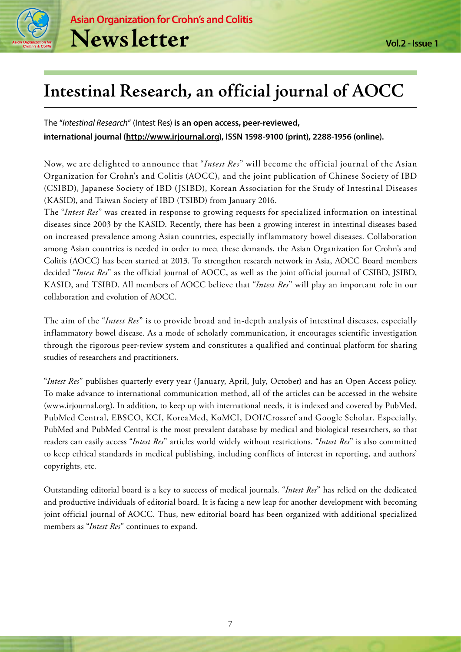

# **Intestinal Research, an official journal of AOCC**

The "*Intestinal Research*" (Intest Res) **is an open access, peer-reviewed, international journal (http://www.irjournal.org), ISSN 1598-9100 (print), 2288-1956 (online).** 

Now, we are delighted to announce that "*Intest Res*" will become the official journal of the Asian Organization for Crohn's and Colitis (AOCC), and the joint publication of Chinese Society of IBD (CSIBD), Japanese Society of IBD (JSIBD), Korean Association for the Study of Intestinal Diseases (KASID), and Taiwan Society of IBD (TSIBD) from January 2016.

The "*Intest Res*" was created in response to growing requests for specialized information on intestinal diseases since 2003 by the KASID. Recently, there has been a growing interest in intestinal diseases based on increased prevalence among Asian countries, especially inflammatory bowel diseases. Collaboration among Asian countries is needed in order to meet these demands, the Asian Organization for Crohn's and Colitis (AOCC) has been started at 2013. To strengthen research network in Asia, AOCC Board members decided "*Intest Res*" as the official journal of AOCC, as well as the joint official journal of CSIBD, JSIBD, KASID, and TSIBD. All members of AOCC believe that "*Intest Res*" will play an important role in our collaboration and evolution of AOCC.

The aim of the "*Intest Res*" is to provide broad and in-depth analysis of intestinal diseases, especially inflammatory bowel disease. As a mode of scholarly communication, it encourages scientific investigation through the rigorous peer-review system and constitutes a qualified and continual platform for sharing studies of researchers and practitioners.

"*Intest Res*" publishes quarterly every year (January, April, July, October) and has an Open Access policy. To make advance to international communication method, all of the articles can be accessed in the website (www.irjournal.org). In addition, to keep up with international needs, it is indexed and covered by PubMed, PubMed Central, EBSCO, KCI, KoreaMed, KoMCI, DOI/Crossref and Google Scholar. Especially, PubMed and PubMed Central is the most prevalent database by medical and biological researchers, so that readers can easily access "*Intest Res*" articles world widely without restrictions. "*Intest Res*" is also committed to keep ethical standards in medical publishing, including conflicts of interest in reporting, and authors' copyrights, etc.

Outstanding editorial board is a key to success of medical journals. "*Intest Res*" has relied on the dedicated and productive individuals of editorial board. It is facing a new leap for another development with becoming joint official journal of AOCC. Thus, new editorial board has been organized with additional specialized members as "*Intest Res*" continues to expand.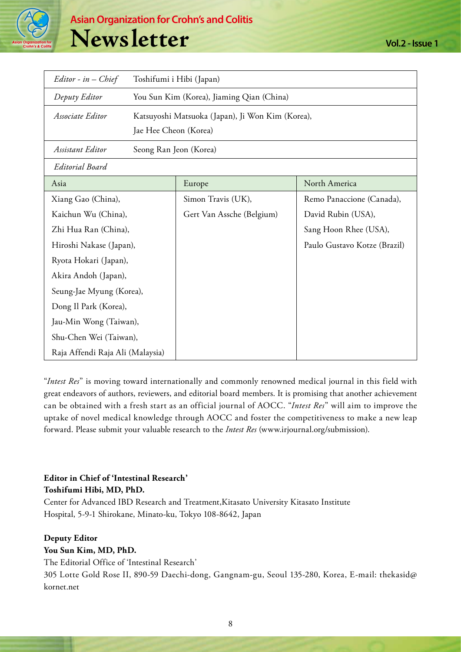

| $Editor - in - Chief$            | Toshifumi i Hibi (Japan)                         |                           |                              |  |
|----------------------------------|--------------------------------------------------|---------------------------|------------------------------|--|
| Deputy Editor                    | You Sun Kim (Korea), Jiaming Qian (China)        |                           |                              |  |
| Associate Editor                 | Katsuyoshi Matsuoka (Japan), Ji Won Kim (Korea), |                           |                              |  |
|                                  | Jae Hee Cheon (Korea)                            |                           |                              |  |
| Assistant Editor                 |                                                  | Seong Ran Jeon (Korea)    |                              |  |
| <b>Editorial Board</b>           |                                                  |                           |                              |  |
| Asia                             |                                                  | Europe                    | North America                |  |
| Xiang Gao (China),               |                                                  | Simon Travis (UK),        | Remo Panaccione (Canada),    |  |
| Kaichun Wu (China),              |                                                  | Gert Van Assche (Belgium) | David Rubin (USA),           |  |
| Zhi Hua Ran (China),             |                                                  |                           | Sang Hoon Rhee (USA),        |  |
| Hiroshi Nakase (Japan),          |                                                  |                           | Paulo Gustavo Kotze (Brazil) |  |
| Ryota Hokari (Japan),            |                                                  |                           |                              |  |
| Akira Andoh (Japan),             |                                                  |                           |                              |  |
| Seung-Jae Myung (Korea),         |                                                  |                           |                              |  |
| Dong Il Park (Korea),            |                                                  |                           |                              |  |
| Jau-Min Wong (Taiwan),           |                                                  |                           |                              |  |
| Shu-Chen Wei (Taiwan),           |                                                  |                           |                              |  |
| Raja Affendi Raja Ali (Malaysia) |                                                  |                           |                              |  |

"*Intest Res*" is moving toward internationally and commonly renowned medical journal in this field with great endeavors of authors, reviewers, and editorial board members. It is promising that another achievement can be obtained with a fresh start as an official journal of AOCC. "*Intest Res*" will aim to improve the uptake of novel medical knowledge through AOCC and foster the competitiveness to make a new leap forward. Please submit your valuable research to the *Intest Res* (www.irjournal.org/submission).

## **Editor in Chief of 'Intestinal Research' Toshifumi Hibi, MD, PhD.**

Center for Advanced IBD Research and Treatment,Kitasato University Kitasato Institute Hospital, 5-9-1 Shirokane, Minato-ku, Tokyo 108-8642, Japan

#### **Deputy Editor**

#### **You Sun Kim, MD, PhD.**

The Editorial Office of 'Intestinal Research'

305 Lotte Gold Rose II, 890-59 Daechi-dong, Gangnam-gu, Seoul 135-280, Korea, E-mail: thekasid@ kornet.net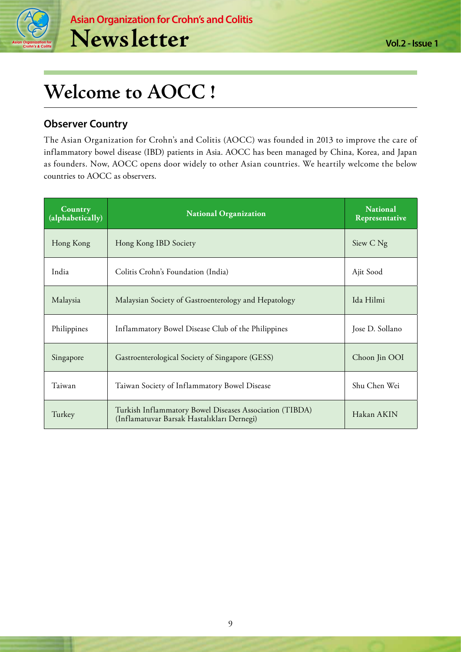

# **Welcome to AOCC !**

# **Observer Country**

The Asian Organization for Crohn's and Colitis (AOCC) was founded in 2013 to improve the care of inflammatory bowel disease (IBD) patients in Asia. AOCC has been managed by China, Korea, and Japan as founders. Now, AOCC opens door widely to other Asian countries. We heartily welcome the below countries to AOCC as observers.

| Country<br>(alphabetically) | <b>National Organization</b>                                                                          | <b>National</b><br>Representative |
|-----------------------------|-------------------------------------------------------------------------------------------------------|-----------------------------------|
| Hong Kong                   | Hong Kong IBD Society                                                                                 | Siew C Ng                         |
| India                       | Colitis Crohn's Foundation (India)                                                                    | Ajit Sood                         |
| Malaysia                    | Malaysian Society of Gastroenterology and Hepatology                                                  | Ida Hilmi                         |
| Philippines                 | Inflammatory Bowel Disease Club of the Philippines                                                    | Jose D. Sollano                   |
| Singapore                   | Gastroenterological Society of Singapore (GESS)                                                       | Choon Jin OOI                     |
| Taiwan                      | Taiwan Society of Inflammatory Bowel Disease                                                          | Shu Chen Wei                      |
| Turkey                      | Turkish Inflammatory Bowel Diseases Association (TIBDA)<br>(Inflamatuvar Barsak Hastalıkları Dernegi) | Hakan AKIN                        |